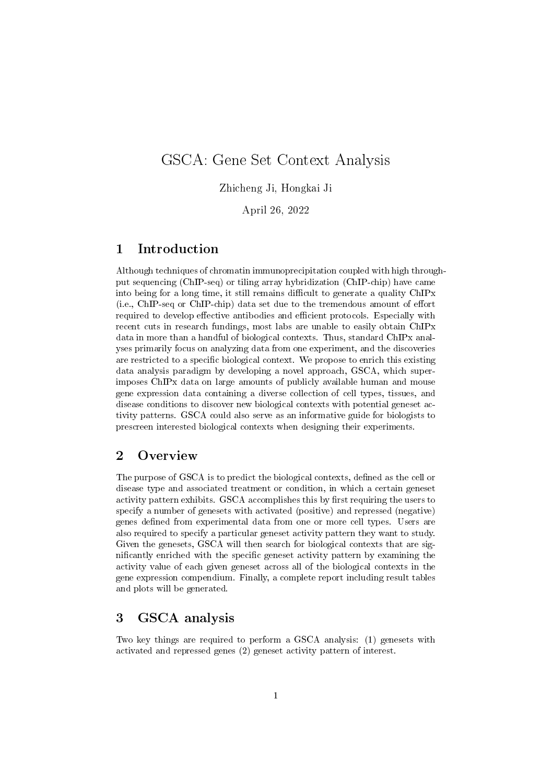# GSCA: Gene Set Context Analysis

Zhicheng Ji, Hongkai Ji

April 26, 2022

## 1 Introduction

Although techniques of chromatin immunoprecipitation coupled with high throughput sequencing (ChIP-seq) or tiling array hybridization (ChIP-chip) have came into being for a long time, it still remains difficult to generate a quality ChIPx  $(i.e., ChIP-seq or ChIP-chip)$  data set due to the tremendous amount of effort required to develop effective antibodies and efficient protocols. Especially with recent cuts in research fundings, most labs are unable to easily obtain ChIPx data in more than a handful of biological contexts. Thus, standard ChIPx analyses primarily focus on analyzing data from one experiment, and the discoveries are restricted to a specific biological context. We propose to enrich this existing data analysis paradigm by developing a novel approach, GSCA, which superimposes ChIPx data on large amounts of publicly available human and mouse gene expression data containing a diverse collection of cell types, tissues, and disease conditions to discover new biological contexts with potential geneset activity patterns. GSCA could also serve as an informative guide for biologists to prescreen interested biological contexts when designing their experiments.

## 2 Overview

The purpose of GSCA is to predict the biological contexts, defined as the cell or disease type and associated treatment or condition, in which a certain geneset activity pattern exhibits. GSCA accomplishes this by first requiring the users to specify a number of genesets with activated (positive) and repressed (negative) genes defined from experimental data from one or more cell types. Users are also required to specify a particular geneset activity pattern they want to study. Given the genesets, GSCA will then search for biological contexts that are significantly enriched with the specific geneset activity pattern by examining the activity value of each given geneset across all of the biological contexts in the gene expression compendium. Finally, a complete report including result tables and plots will be generated.

## 3 GSCA analysis

Two key things are required to perform a GSCA analysis: (1) genesets with activated and repressed genes (2) geneset activity pattern of interest.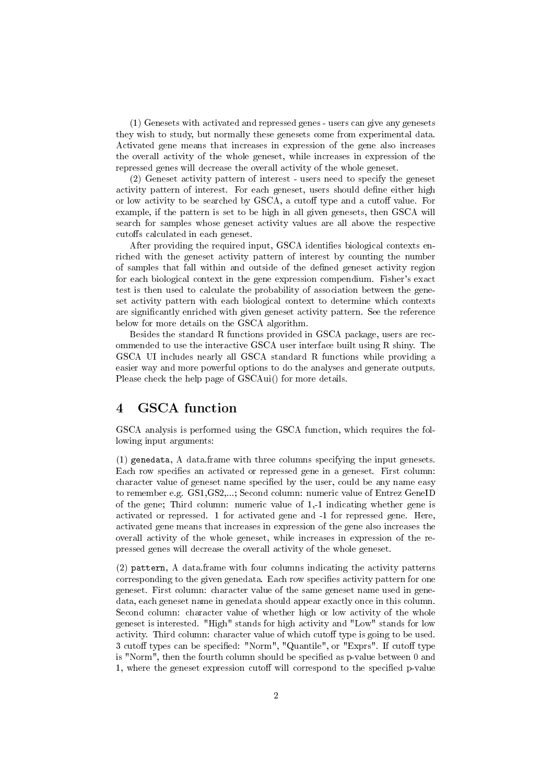(1) Genesets with activated and repressed genes - users can give any genesets they wish to study, but normally these genesets come from experimental data. Activated gene means that increases in expression of the gene also increases the overall activity of the whole geneset, while increases in expression of the repressed genes will decrease the overall activity of the whole geneset.

(2) Geneset activity pattern of interest - users need to specify the geneset activity pattern of interest. For each geneset, users should define either high or low activity to be searched by GSCA, a cutoff type and a cutoff value. For example, if the pattern is set to be high in all given genesets, then GSCA will search for samples whose geneset activity values are all above the respective cutoffs calculated in each geneset.

After providing the required input, GSCA identifies biological contexts enriched with the geneset activity pattern of interest by counting the number of samples that fall within and outside of the dened geneset activity region for each biological context in the gene expression compendium. Fisher's exact test is then used to calculate the probability of association between the geneset activity pattern with each biological context to determine which contexts are signicantly enriched with given geneset activity pattern. See the reference below for more details on the GSCA algorithm.

Besides the standard R functions provided in GSCA package, users are recommended to use the interactive GSCA user interface built using R shiny. The GSCA UI includes nearly all GSCA standard R functions while providing a easier way and more powerful options to do the analyses and generate outputs. Please check the help page of GSCAui() for more details.

## 4 GSCA function

GSCA analysis is performed using the GSCA function, which requires the following input arguments:

(1) genedata, A data.frame with three columns specifying the input genesets. Each row specifies an activated or repressed gene in a geneset. First column: character value of geneset name specified by the user, could be any name easy to remember e.g. GS1,GS2,...; Second column: numeric value of Entrez GeneID of the gene; Third column: numeric value of 1,-1 indicating whether gene is activated or repressed. 1 for activated gene and -1 for repressed gene. Here, activated gene means that increases in expression of the gene also increases the overall activity of the whole geneset, while increases in expression of the repressed genes will decrease the overall activity of the whole geneset.

(2) pattern, A data.frame with four columns indicating the activity patterns corresponding to the given genedata. Each row specifies activity pattern for one geneset. First column: character value of the same geneset name used in genedata, each geneset name in genedata should appear exactly once in this column. Second column: character value of whether high or low activity of the whole geneset is interested. "High" stands for high activity and "Low" stands for low activity. Third column: character value of which cutoff type is going to be used. 3 cutoff types can be specified: "Norm", "Quantile", or "Exprs". If cutoff type is "Norm", then the fourth column should be specified as p-value between 0 and 1, where the geneset expression cutoff will correspond to the specified p-value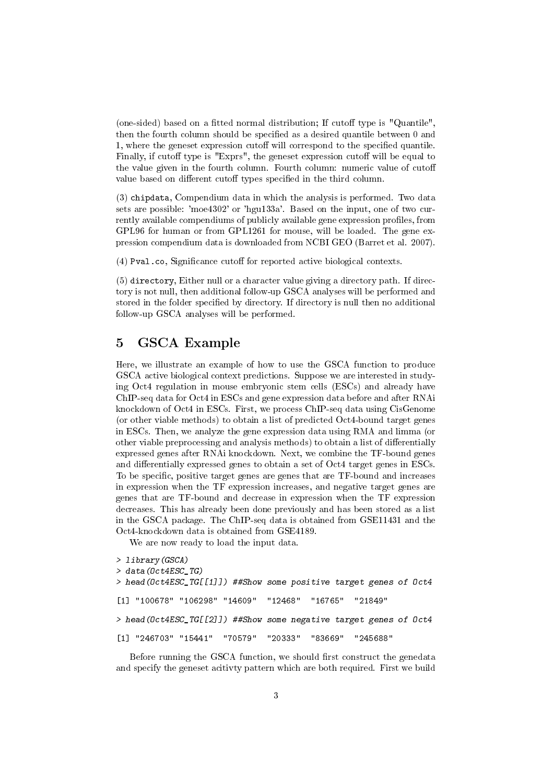(one-sided) based on a fitted normal distribution; If cutoff type is "Quantile". then the fourth column should be specified as a desired quantile between 0 and 1, where the geneset expression cutoff will correspond to the specified quantile. Finally, if cutoff type is "Exprs", the geneset expression cutoff will be equal to the value given in the fourth column. Fourth column: numeric value of cuto value based on different cutoff types specified in the third column.

(3) chipdata, Compendium data in which the analysis is performed. Two data sets are possible: 'moe4302' or 'hgu133a'. Based on the input, one of two currently available compendiums of publicly available gene expression profiles, from GPL96 for human or from GPL1261 for mouse, will be loaded. The gene expression compendium data is downloaded from NCBI GEO (Barret et al. 2007).

 $(4)$  Pval.co, Significance cutoff for reported active biological contexts.

(5) directory, Either null or a character value giving a directory path. If directory is not null, then additional follow-up GSCA analyses will be performed and stored in the folder specified by directory. If directory is null then no additional follow-up GSCA analyses will be performed.

## 5 GSCA Example

Here, we illustrate an example of how to use the GSCA function to produce GSCA active biological context predictions. Suppose we are interested in studying Oct4 regulation in mouse embryonic stem cells (ESCs) and already have ChIP-seq data for Oct4 in ESCs and gene expression data before and after RNAi knockdown of Oct4 in ESCs. First, we process ChIP-seq data using CisGenome (or other viable methods) to obtain a list of predicted Oct4-bound target genes in ESCs. Then, we analyze the gene expression data using RMA and limma (or other viable preprocessing and analysis methods) to obtain a list of differentially expressed genes after RNAi knockdown. Next, we combine the TF-bound genes and differentially expressed genes to obtain a set of Oct4 target genes in ESCs. To be specific, positive target genes are genes that are TF-bound and increases in expression when the TF expression increases, and negative target genes are genes that are TF-bound and decrease in expression when the TF expression decreases. This has already been done previously and has been stored as a list in the GSCA package. The ChIP-seq data is obtained from GSE11431 and the Oct4-knockdown data is obtained from GSE4189.

We are now ready to load the input data.

```
> library(GSCA)
> data(Oct4ESC_TG)
> head(Oct4ESC_TG[[1]]) ##Show some positive target genes of Oct4
[1] "100678" "106298" "14609" "12468" "16765" "21849"
> head(Oct4ESC_TG[[2]]) ##Show some negative target genes of Oct4
[1] "246703" "15441" "70579" "20333" "83669" "245688"
```
Before running the GSCA function, we should first construct the genedata and specify the geneset acitivty pattern which are both required. First we build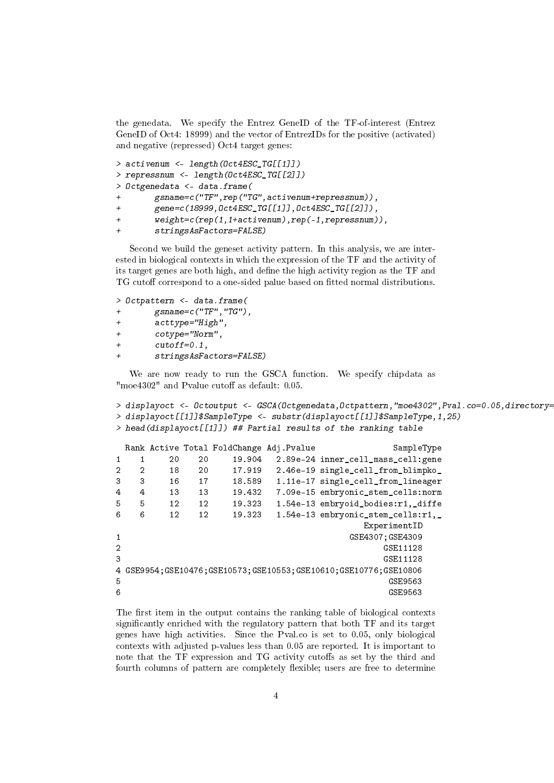the genedata. We specify the Entrez GeneID of the TF-of-interest (Entrez GeneID of Oct4: 18999) and the vector of EntrezIDs for the positive (activated) and negative (repressed) Oct4 target genes:

```
> activenum <- length(Oct4ESC_TG[[1]])
> repressnum <- length(Oct4ESC_TG[[2]])
> Octgenedata <- data.frame(
       + gsname=c("TF",rep("TG",activenum+repressnum)),
+ gene=c(18999,Oct4ESC_TG[[1]],Oct4ESC_TG[[2]]),
+ weight=c(rep(1,1+activenum),rep(-1,repressnum)),
+ stringsAsFactors=FALSE)
```
Second we build the geneset activity pattern. In this analysis, we are interested in biological contexts in which the expression of the TF and the activity of its target genes are both high, and define the high activity region as the TF and TG cutoff correspond to a one-sided palue based on fitted normal distributions.

```
> Octpattern <- data.frame(
+ gsname=c("TF","TG"),
+ acttype="High",
+ cotype="Norm",
+ cutoff=0.1,
+ stringsAsFactors=FALSE)
```
We are now ready to run the GSCA function. We specify chipdata as "moe $4302$ " and Pvalue cutoff as default: 0.05.

```
> displayoct <- Octoutput <- GSCA(Octgenedata, Octpattern, "moe4302", Pval.co=0.05, directory=
> displayoct[[1]]$SampleType <- substr(displayoct[[1]]$SampleType,1,25)
> head(displayoct[[1]]) ## Partial results of the ranking table
 Rank Active Total FoldChange Adj.Pvalue SampleType
```

```
1 1 20 20 19.904 2.89e-24 inner_cell_mass_cell:gene
2 2 18 20 17.919 2.46e-19 single_cell_from_blimpko_
3 3 16 17 18.589 1.11e-17 single_cell_from_lineager
4 4 13 13 19.432 7.09e-15 embryonic_stem_cells:norm
5 5 12 12 19.323 1.54e-13 embryoid_bodies:r1,_diffe
6 6 12 12 19.323 1.54e-13 embryonic_stem_cells:r1,_
                            ExperimentID
1 GSE4307;GSE4309
2 GSE11128
3 GSE11128
4 GSE9954;GSE10476;GSE10573;GSE10553;GSE10610;GSE10776;GSE10806
5 GSE9563
6
```
The first item in the output contains the ranking table of biological contexts signicantly enriched with the regulatory pattern that both TF and its target genes have high activities. Since the Pval.co is set to 0.05, only biological contexts with adjusted p-values less than 0.05 are reported. It is important to note that the TF expression and TG activity cutoffs as set by the third and fourth columns of pattern are completely flexible; users are free to determine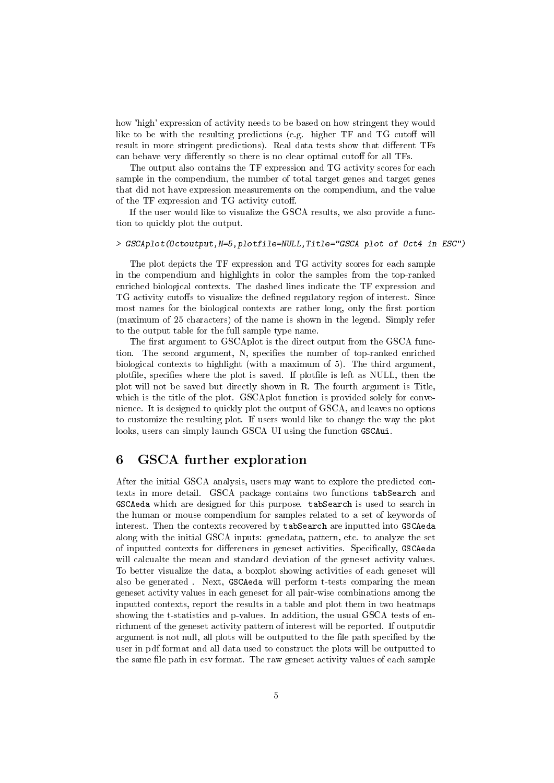how 'high' expression of activity needs to be based on how stringent they would like to be with the resulting predictions (e.g. higher  $TF$  and  $TG$  cutoff will result in more stringent predictions). Real data tests show that different TFs can behave very differently so there is no clear optimal cutoff for all TFs.

The output also contains the TF expression and TG activity scores for each sample in the compendium, the number of total target genes and target genes that did not have expression measurements on the compendium, and the value of the TF expression and TG activity cuto.

If the user would like to visualize the GSCA results, we also provide a function to quickly plot the output.

### > GSCAplot(Octoutput,N=5,plotfile=NULL,Title="GSCA plot of Oct4 in ESC")

The plot depicts the TF expression and TG activity scores for each sample in the compendium and highlights in color the samples from the top-ranked enriched biological contexts. The dashed lines indicate the TF expression and TG activity cutoffs to visualize the defined regulatory region of interest. Since most names for the biological contexts are rather long, only the first portion (maximum of 25 characters) of the name is shown in the legend. Simply refer to the output table for the full sample type name.

The first argument to GSCAplot is the direct output from the GSCA function. The second argument, N, specifies the number of top-ranked enriched biological contexts to highlight (with a maximum of 5). The third argument, plotfile, specifies where the plot is saved. If plotfile is left as NULL, then the plot will not be saved but directly shown in R. The fourth argument is Title, which is the title of the plot. GSCAplot function is provided solely for convenience. It is designed to quickly plot the output of GSCA, and leaves no options to customize the resulting plot. If users would like to change the way the plot looks, users can simply launch GSCA UI using the function GSCAui.

## 6 GSCA further exploration

After the initial GSCA analysis, users may want to explore the predicted contexts in more detail. GSCA package contains two functions tabSearch and GSCAeda which are designed for this purpose. tabSearch is used to search in the human or mouse compendium for samples related to a set of keywords of interest. Then the contexts recovered by tabSearch are inputted into GSCAeda along with the initial GSCA inputs: genedata, pattern, etc. to analyze the set of inputted contexts for differences in geneset activities. Specifically, GSCAeda will calcualte the mean and standard deviation of the geneset activity values. To better visualize the data, a boxplot showing activities of each geneset will also be generated . Next, GSCAeda will perform t-tests comparing the mean geneset activity values in each geneset for all pair-wise combinations among the inputted contexts, report the results in a table and plot them in two heatmaps showing the t-statistics and p-values. In addition, the usual GSCA tests of enrichment of the geneset activity pattern of interest will be reported. If outputdir argument is not null, all plots will be outputted to the file path specified by the user in pdf format and all data used to construct the plots will be outputted to the same file path in csv format. The raw geneset activity values of each sample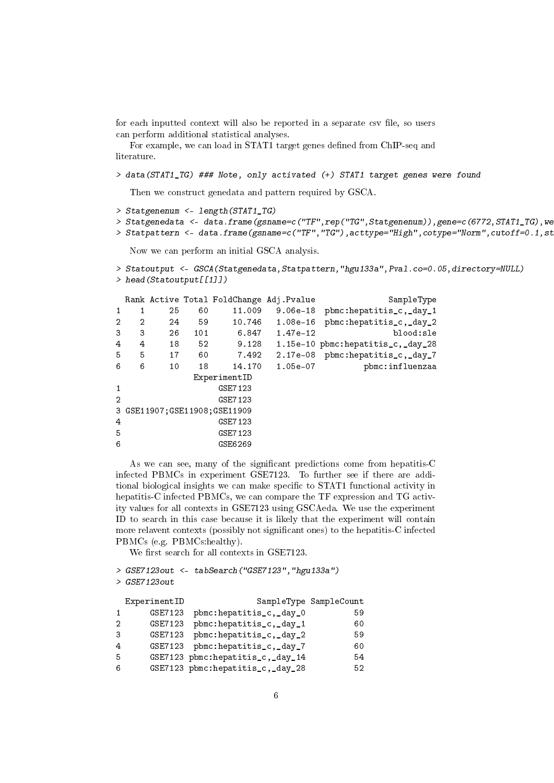for each inputted context will also be reported in a separate csv file, so users can perform additional statistical analyses.

For example, we can load in STAT1 target genes defined from ChIP-seq and literature.

> data(STAT1\_TG) ### Note, only activated (+) STAT1 target genes were found

Then we construct genedata and pattern required by GSCA.

```
> Statgenenum <- length(STAT1_TG)
```

```
> Statgenedata <- data.frame(gsname=c("TF",rep("TG",Statgenenum)),gene=c(6772,STAT1_TG),we
```

```
> Statpattern <- data.frame(gsname=c("TF","TG"),acttype="High",cotype="Norm",cutoff=0.1,st
```
Now we can perform an initial GSCA analysis.

```
> Statoutput <- GSCA(Statgenedata,Statpattern,"hgu133a",Pval.co=0.05,directory=NULL)
> head(Statoutput[[1]])
```

|                |                                |         |     | Rank Active Total FoldChange Adj. Pvalue |            | SampleType                        |  |
|----------------|--------------------------------|---------|-----|------------------------------------------|------------|-----------------------------------|--|
| 1              | 1                              | 25      | 60  | 11,009                                   | $9.06e-18$ | pbmc:hepatitis_c,_day_1           |  |
| 2              | 2                              | 24      | 59  | 10.746                                   | $1.08e-16$ | pbmc:hepatitis_c,_day_2           |  |
| 3              | 3                              | 26      | 101 | 6.847                                    | 1.47e-12   | blood:sle                         |  |
| 4              | 4                              | 18      | 52  | 9.128                                    |            | 1.15e-10 pbmc:hepatitis_c,_day_28 |  |
| 5              | 5                              | 17      | 60  | 7.492                                    | $2.17e-08$ | pbmc:hepatitis_c,_day_7           |  |
| 6              | 6                              | 10      | 18  | 14.170                                   | $1.05e-07$ | pbmc:influenzaa                   |  |
|                | ExperimentID                   |         |     |                                          |            |                                   |  |
| 1              | GSE7123                        |         |     |                                          |            |                                   |  |
| $\overline{2}$ | GSE7123                        |         |     |                                          |            |                                   |  |
|                | 3 GSE11907: GSE11908: GSE11909 |         |     |                                          |            |                                   |  |
| 4              | GSE7123                        |         |     |                                          |            |                                   |  |
| 5              |                                | GSE7123 |     |                                          |            |                                   |  |
| 6              |                                | GSE6269 |     |                                          |            |                                   |  |

As we can see, many of the significant predictions come from hepatitis-C infected PBMCs in experiment GSE7123. To further see if there are additional biological insights we can make specific to STAT1 functional activity in hepatitis-C infected PBMCs, we can compare the TF expression and TG activity values for all contexts in GSE7123 using GSCAeda. We use the experiment ID to search in this case because it is likely that the experiment will contain more relavent contexts (possibly not signicant ones) to the hepatitis-C infected PBMCs (e.g. PBMCs:healthy).

We first search for all contexts in GSE7123.

```
> GSE7123out <- tabSearch("GSE7123","hgu133a")
> GSE7123out
```

|                | ExperimentID |                                  | SampleType SampleCount |
|----------------|--------------|----------------------------------|------------------------|
|                | GSE7123      | pbmc:hepatitis_c,_day_0          | 59                     |
| 2              | GSE7123      | pbmc:hepatitis_c,_day_1          | 60                     |
| 3              | GSE7123      | pbmc:hepatitis_c,_day_2          | 59                     |
| $\overline{4}$ | GSE7123      | pbmc:hepatitis_c,_day_7          | 60                     |
| -5             |              | GSE7123 pbmc:hepatitis_c,_day_14 | 54                     |
| 6              |              | GSE7123 pbmc:hepatitis_c,_day_28 | 52                     |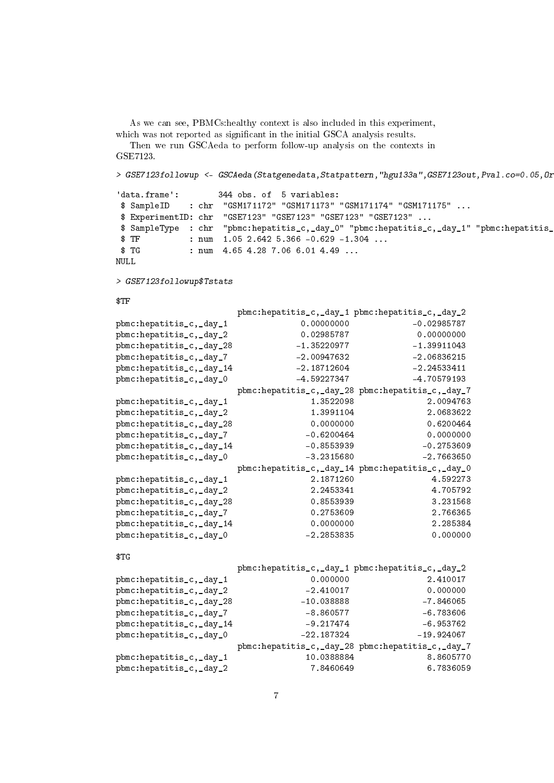As we can see, PBMCs:healthy context is also included in this experiment, which was not reported as significant in the initial GSCA analysis results.

Then we run GSCAeda to perform follow-up analysis on the contexts in GSE7123.

> GSE7123followup <- GSCAeda(Statgenedata,Statpattern,"hgu133a",GSE7123out,Pval.co=0.05,0r

```
'data.frame': 344 obs. of 5 variables:
$ SampleID : chr "GSM171172" "GSM171173" "GSM171174" "GSM171175" ...
 $ ExperimentID: chr "GSE7123" "GSE7123" "GSE7123" "GSE7123" ...
 $ SampleType : chr "pbmc:hepatitis_c,_day_0" "pbmc:hepatitis_c,_day_1" "pbmc:hepatitis_
\text{\$ TF} : num 1.05 2.642 5.366 -0.629 -1.304 ...
$ TG : num    4.65    4.28    7.06    6.01    4.49 ...
NULL
```
> GSE7123followup\$Tstats

#### \$TF

|                          | pbmc:hepatitis_c,_day_1 pbmc:hepatitis_c,_day_2  |               |
|--------------------------|--------------------------------------------------|---------------|
| pbmc:hepatitis_c,_day_1  | 0.00000000                                       | $-0.02985787$ |
| pbmc:hepatitis_c,_day_2  | 0.02985787                                       | 0.00000000    |
| pbmc:hepatitis_c,_day_28 | $-1.35220977$                                    | $-1.39911043$ |
| pbmc:hepatitis_c,_day_7  | $-2.00947632$                                    | $-2.06836215$ |
| pbmc:hepatitis_c,_day_14 | $-2.18712604$                                    | $-2.24533411$ |
| pbmc:hepatitis_c,_day_0  | $-4.59227347$                                    | $-4.70579193$ |
|                          | pbmc:hepatitis_c,_day_28 pbmc:hepatitis_c,_day_7 |               |
| pbmc:hepatitis_c,_day_1  | 1.3522098                                        | 2.0094763     |
| pbmc:hepatitis_c,_day_2  | 1.3991104                                        | 2.0683622     |
| pbmc:hepatitis_c,_day_28 | 0.0000000                                        | 0.6200464     |
| pbmc:hepatitis_c,_day_7  | $-0.6200464$                                     | 0.0000000     |
| pbmc:hepatitis_c,_day_14 | $-0.8553939$                                     | $-0.2753609$  |
| pbmc:hepatitis_c,_day_0  | $-3.2315680$                                     | $-2.7663650$  |
|                          | pbmc:hepatitis_c,_day_14 pbmc:hepatitis_c,_day_0 |               |
| pbmc:hepatitis_c,_day_1  | 2.1871260                                        | 4.592273      |
| pbmc:hepatitis_c,_day_2  | 2.2453341                                        | 4.705792      |
| pbmc:hepatitis_c,_day_28 | 0.8553939                                        | 3.231568      |
| pbmc:hepatitis_c,_day_7  | 0.2753609                                        | 2.766365      |
| pbmc:hepatitis_c,_day_14 | 0.0000000                                        | 2.285384      |
| pbmc:hepatitis_c,_day_0  | $-2.2853835$                                     | 0.000000      |
| \$TG                     |                                                  |               |
|                          | pbmc:hepatitis_c,_day_1 pbmc:hepatitis_c,_day_2  |               |
| pbmc:hepatitis_c,_day_1  | 0.000000                                         | 2.410017      |
| pbmc:hepatitis_c,_day_2  | $-2.410017$                                      | 0.000000      |
| pbmc:hepatitis_c,_day_28 | $-10.038888$                                     | $-7.846065$   |
| pbmc:hepatitis_c,_day_7  | $-8.860577$                                      | $-6.783606$   |
| pbmc:hepatitis_c,_day_14 | $-9.217474$                                      | $-6.953762$   |
| pbmc:hepatitis_c,_day_0  | $-22.187324$                                     | $-19.924067$  |
|                          | pbmc:hepatitis_c,_day_28 pbmc:hepatitis_c,_day_7 |               |
| pbmc:hepatitis_c,_day_1  | 10.0388884                                       | 8.8605770     |
| pbmc:hepatitis_c,_day_2  | 7.8460649                                        | 6.7836059     |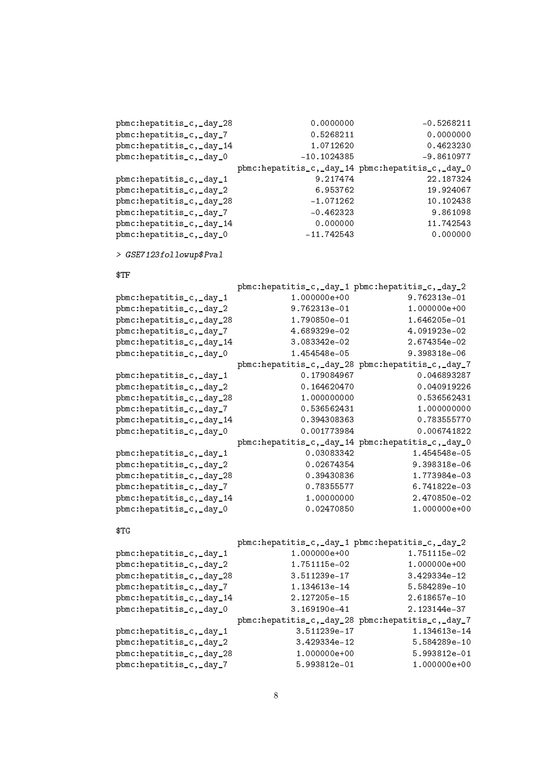```
pbmc:hepatitis_c,_day_28 0.0000000 -0.5268211
pbmc:hepatitis_c,_day_7 0.5268211 0.0000000
pbmc:hepatitis_c,_day_14 1.0712620 0.4623230
pbmc:hepatitis_c,_day_0 -10.1024385 -9.8610977
                 pbmc:hepatitis_c,_day_14 pbmc:hepatitis_c,_day_0
pbmc:hepatitis_c,_day_1 9.217474 22.187324
pbmc:hepatitis_c,_day_2 6.953762 19.924067
pbmc:hepatitis_c,_day_28 -1.071262 10.102438
pbmc:hepatitis_c,_day_7 -0.462323 9.861098
pbmc:hepatitis_c,_day_14 0.000000 11.742543
pbmc:hepatitis_c,_day_0 -11.742543 0.000000
> GSE7123followup$Pval
$TF
                 pbmc:hepatitis_c,_day_1 pbmc:hepatitis_c,_day_2
pbmc:hepatitis_c,_day_1 1.000000e+00 9.762313e-01
pbmc:hepatitis_c,_day_2 9.762313e-01 1.000000e+00
pbmc:hepatitis_c,_day_28 1.790850e-01 1.646205e-01
pbmc:hepatitis_c,_day_7 4.689329e-02 4.091923e-02
pbmc:hepatitis_c,_day_14 3.083342e-02 2.674354e-02
pbmc:hepatitis_c,_day_0 1.454548e-05 9.398318e-06
                 pbmc:hepatitis_c,_day_28 pbmc:hepatitis_c,_day_7
pbmc:hepatitis_c,_day_1 0.179084967 0.046893287
pbmc:hepatitis_c,_day_2 0.164620470 0.040919226
pbmc:hepatitis_c,_day_28 1.000000000 0.536562431
pbmc:hepatitis_c,_day_7 0.536562431 1.000000000
pbmc:hepatitis_c,_day_14 0.394308363 0.783555770
pbmc:hepatitis_c,_day_0 0.001773984 0.006741822
                 pbmc:hepatitis_c,_day_14 pbmc:hepatitis_c,_day_0
pbmc:hepatitis_c,_day_1 0.03083342 1.454548e-05
pbmc:hepatitis_c,_day_2 0.02674354 9.398318e-06
pbmc:hepatitis_c,_day_28 0.39430836 1.773984e-03
pbmc:hepatitis_c,_day_7 0.78355577 6.741822e-03
pbmc:hepatitis_c,_day_14 1.00000000 2.470850e-02
pbmc:hepatitis_c,_day_0 0.02470850 1.000000e+00
$TG
                 pbmc:hepatitis_c,_day_1 pbmc:hepatitis_c,_day_2
pbmc:hepatitis_c,_day_1 1.000000e+00 1.751115e-02
pbmc:hepatitis_c,_day_2 1.751115e-02 1.000000e+00
pbmc:hepatitis_c,_day_28 3.511239e-17 3.429334e-12
pbmc:hepatitis_c,_day_7 1.134613e-14 5.584289e-10
pbmc:hepatitis_c,_day_14 2.127205e-15 2.618657e-10<br>pbmc:hepatitis_c,_day_0 3.169190e-41 2.123144e-37
pbmc:hepatitis_c,_day_0 3.169190e-41 2.123144e-37
                 pbmc:hepatitis_c,_day_28 pbmc:hepatitis_c,_day_7
pbmc:hepatitis_c,_day_1 3.511239e-17 1.134613e-14
pbmc:hepatitis_c,_day_2 3.429334e-12 5.584289e-10
pbmc:hepatitis_c,_day_28 1.000000e+00 5.993812e-01
pbmc:hepatitis_c,_day_7 5.993812e-01 1.000000e+00
```

```
8
```